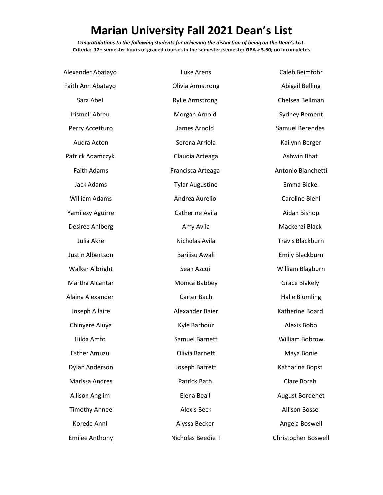## **Marian University Fall 2021 Dean's List**

*Congratulations to the following students for achieving the distinction of being on the Dean's List.* **Criteria: 12+ semester hours of graded courses in the semester; semester GPA > 3.50; no incompletes**

| Alexander Abatayo      | <b>Luke Arens</b>      | Caleb Beimfohr             |
|------------------------|------------------------|----------------------------|
| Faith Ann Abatayo      | Olivia Armstrong       | <b>Abigail Belling</b>     |
| Sara Abel              | <b>Rylie Armstrong</b> | Chelsea Bellman            |
| Irismeli Abreu         | Morgan Arnold          | <b>Sydney Bement</b>       |
| Perry Accetturo        | James Arnold           | Samuel Berendes            |
| Audra Acton            | Serena Arriola         | Kailynn Berger             |
| Patrick Adamczyk       | Claudia Arteaga        | Ashwin Bhat                |
| <b>Faith Adams</b>     | Francisca Arteaga      | Antonio Bianchetti         |
| Jack Adams             | <b>Tylar Augustine</b> | Emma Bickel                |
| <b>William Adams</b>   | Andrea Aurelio         | Caroline Biehl             |
| Yamilexy Aguirre       | Catherine Avila        | Aidan Bishop               |
| Desiree Ahlberg        | Amy Avila              | Mackenzi Black             |
| Julia Akre             | Nicholas Avila         | <b>Travis Blackburn</b>    |
| Justin Albertson       | Barijisu Awali         | <b>Emily Blackburn</b>     |
| <b>Walker Albright</b> | Sean Azcui             | William Blagburn           |
| Martha Alcantar        | Monica Babbey          | <b>Grace Blakely</b>       |
| Alaina Alexander       | Carter Bach            | <b>Halle Blumling</b>      |
| Joseph Allaire         | Alexander Baier        | Katherine Board            |
| Chinyere Aluya         | Kyle Barbour           | Alexis Bobo                |
| Hilda Amfo             | Samuel Barnett         | William Bobrow             |
| <b>Esther Amuzu</b>    | Olivia Barnett         | Maya Bonie                 |
| Dylan Anderson         | Joseph Barrett         | Katharina Bopst            |
| Marissa Andres         | Patrick Bath           | Clare Borah                |
| Allison Anglim         | Elena Beall            | <b>August Bordenet</b>     |
| <b>Timothy Annee</b>   | <b>Alexis Beck</b>     | <b>Allison Bosse</b>       |
| Korede Anni            | Alyssa Becker          | Angela Boswell             |
| <b>Emilee Anthony</b>  | Nicholas Beedie II     | <b>Christopher Boswell</b> |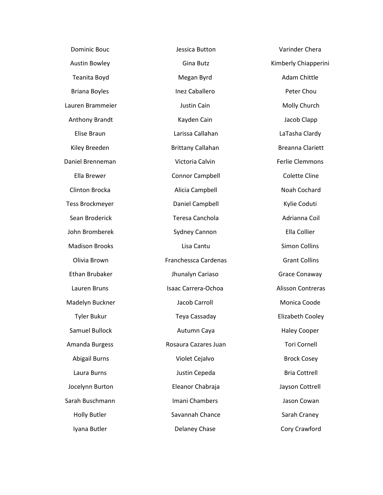| <b>Dominic Bouc</b>    | Jessica Button           | Varinder Chera          |
|------------------------|--------------------------|-------------------------|
| <b>Austin Bowley</b>   | Gina Butz                | Kimberly Chiapperini    |
| Teanita Boyd           | Megan Byrd               | Adam Chittle            |
| <b>Briana Boyles</b>   | Inez Caballero           | Peter Chou              |
| Lauren Brammeier       | Justin Cain              | Molly Church            |
| Anthony Brandt         | Kayden Cain              | Jacob Clapp             |
| Elise Braun            | Larissa Callahan         | LaTasha Clardy          |
| Kiley Breeden          | <b>Brittany Callahan</b> | <b>Breanna Clariett</b> |
| Daniel Brenneman       | Victoria Calvin          | Ferlie Clemmons         |
| Ella Brewer            | <b>Connor Campbell</b>   | <b>Colette Cline</b>    |
| Clinton Brocka         | Alicia Campbell          | Noah Cochard            |
| <b>Tess Brockmeyer</b> | Daniel Campbell          | Kylie Coduti            |
| Sean Broderick         | Teresa Canchola          | Adrianna Coil           |
| John Bromberek         | Sydney Cannon            | Ella Collier            |
| <b>Madison Brooks</b>  | Lisa Cantu               | Simon Collins           |
| Olivia Brown           | Franchessca Cardenas     | <b>Grant Collins</b>    |
| Ethan Brubaker         | Jhunalyn Cariaso         | Grace Conaway           |
| Lauren Bruns           | Isaac Carrera-Ochoa      | Alisson Contreras       |
| Madelyn Buckner        | Jacob Carroll            | Monica Coode            |
| <b>Tyler Bukur</b>     | Teya Cassaday            | Elizabeth Cooley        |
| <b>Samuel Bullock</b>  | Autumn Caya              | <b>Haley Cooper</b>     |
| Amanda Burgess         | Rosaura Cazares Juan     | <b>Tori Cornell</b>     |
| <b>Abigail Burns</b>   | Violet Cejalvo           | <b>Brock Cosey</b>      |
| Laura Burns            | Justin Cepeda            | <b>Bria Cottrell</b>    |
| Jocelynn Burton        | Eleanor Chabraja         | Jayson Cottrell         |
| Sarah Buschmann        | <b>Imani Chambers</b>    | Jason Cowan             |
| <b>Holly Butler</b>    | Savannah Chance          | Sarah Craney            |
| Iyana Butler           | Delaney Chase            | Cory Crawford           |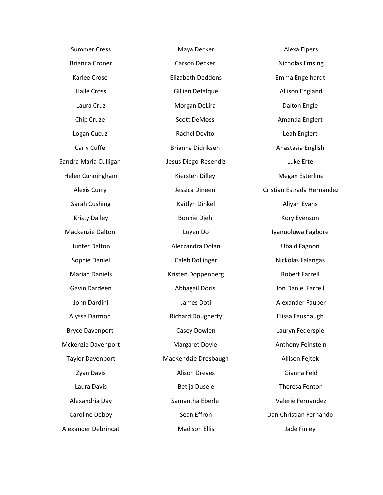| <b>Summer Cress</b>     | Maya Decker              | Alexa Elpers               |
|-------------------------|--------------------------|----------------------------|
| <b>Brianna Croner</b>   | Carson Decker            | <b>Nicholas Emsing</b>     |
| Karlee Crose            | <b>Elizabeth Deddens</b> | Emma Engelhardt            |
| <b>Halle Cross</b>      | Gillian Defalque         | <b>Allison England</b>     |
| Laura Cruz              | Morgan DeLira            | <b>Dalton Engle</b>        |
| Chip Cruze              | <b>Scott DeMoss</b>      | Amanda Englert             |
| Logan Cucuz             | Rachel Devito            | Leah Englert               |
| Carly Cuffel            | Brianna Didriksen        | Anastasia English          |
| Sandra Maria Culligan   | Jesus Diego-Resendiz     | Luke Ertel                 |
| Helen Cunningham        | Kiersten Dilley          | <b>Megan Esterline</b>     |
| <b>Alexis Curry</b>     | Jessica Dineen           | Cristian Estrada Hernandez |
| Sarah Cushing           | Kaitlyn Dinkel           | Aliyah Evans               |
| <b>Kristy Dailey</b>    | Bonnie Djehi             | Kory Evenson               |
| Mackenzie Dalton        | Luyen Do                 | Iyanuoluwa Fagbore         |
| <b>Hunter Dalton</b>    | Aleczandra Dolan         | <b>Ubald Fagnon</b>        |
| Sophie Daniel           | Caleb Dollinger          | Nickolas Falangas          |
| <b>Mariah Daniels</b>   | Kristen Doppenberg       | <b>Robert Farrell</b>      |
| Gavin Dardeen           | <b>Abbagail Doris</b>    | Jon Daniel Farrell         |
| John Dardini            | James Doti               | Alexander Fauber           |
| Alyssa Darmon           | <b>Richard Dougherty</b> | Elissa Fausnaugh           |
| <b>Bryce Davenport</b>  | Casey Dowlen             | Lauryn Federspiel          |
| Mckenzie Davenport      | Margaret Doyle           | Anthony Feinstein          |
| <b>Taylor Davenport</b> | MacKendzie Dresbaugh     | Allison Fejtek             |
| Zyan Davis              | <b>Alison Dreves</b>     | Gianna Feld                |
| Laura Davis             | Betija Dusele            | <b>Theresa Fenton</b>      |
| Alexandria Day          | Samantha Eberle          | Valerie Fernandez          |
| Caroline Deboy          | Sean Effron              | Dan Christian Fernando     |
| Alexander Debrincat     | <b>Madison Ellis</b>     | Jade Finley                |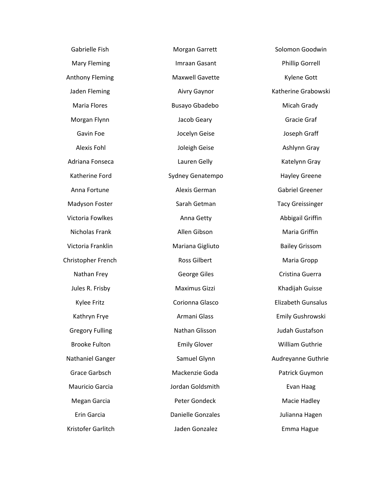| Morgan Garrett           | Solomon Goodwin           |
|--------------------------|---------------------------|
| Imraan Gasant            | <b>Phillip Gorrell</b>    |
| <b>Maxwell Gavette</b>   | Kylene Gott               |
| <b>Aivry Gaynor</b>      | Katherine Grabowski       |
| <b>Busayo Gbadebo</b>    | Micah Grady               |
| Jacob Geary              | Gracie Graf               |
| Jocelyn Geise            | Joseph Graff              |
| Joleigh Geise            | Ashlynn Gray              |
| Lauren Gelly             | Katelynn Gray             |
| Sydney Genatempo         | <b>Hayley Greene</b>      |
| Alexis German            | <b>Gabriel Greener</b>    |
| Sarah Getman             | <b>Tacy Greissinger</b>   |
| Anna Getty               | Abbigail Griffin          |
| Allen Gibson             | Maria Griffin             |
| Mariana Gigliuto         | <b>Bailey Grissom</b>     |
| <b>Ross Gilbert</b>      | Maria Gropp               |
| George Giles             | Cristina Guerra           |
| Maximus Gizzi            | Khadijah Guisse           |
| Corionna Glasco          | <b>Elizabeth Gunsalus</b> |
| Armani Glass             | Emily Gushrowski          |
| Nathan Glisson           | Judah Gustafson           |
| <b>Emily Glover</b>      | William Guthrie           |
| Samuel Glynn             | Audreyanne Guthrie        |
| Mackenzie Goda           | Patrick Guymon            |
| Jordan Goldsmith         | Evan Haag                 |
| Peter Gondeck            | Macie Hadley              |
| <b>Danielle Gonzales</b> | Julianna Hagen            |
| Jaden Gonzalez           | Emma Hague                |
|                          |                           |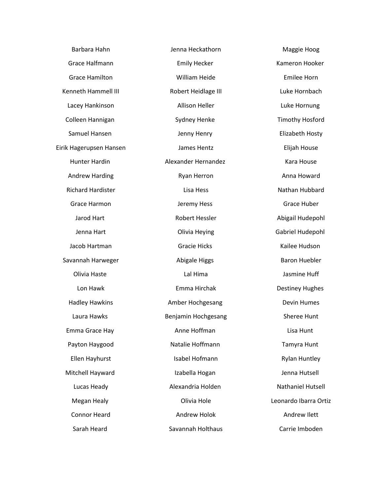| Barbara Hahn             | Jenna Heckathorn      | Maggie Hoog              |
|--------------------------|-----------------------|--------------------------|
| Grace Halfmann           | <b>Emily Hecker</b>   | Kameron Hooker           |
| <b>Grace Hamilton</b>    | William Heide         | Emilee Horn              |
| Kenneth Hammell III      | Robert Heidlage III   | Luke Hornbach            |
| Lacey Hankinson          | <b>Allison Heller</b> | Luke Hornung             |
| Colleen Hannigan         | Sydney Henke          | <b>Timothy Hosford</b>   |
| Samuel Hansen            | Jenny Henry           | Elizabeth Hosty          |
| Eirik Hagerupsen Hansen  | James Hentz           | Elijah House             |
| <b>Hunter Hardin</b>     | Alexander Hernandez   | Kara House               |
| <b>Andrew Harding</b>    | Ryan Herron           | Anna Howard              |
| <b>Richard Hardister</b> | Lisa Hess             | Nathan Hubbard           |
| Grace Harmon             | Jeremy Hess           | Grace Huber              |
| Jarod Hart               | <b>Robert Hessler</b> | Abigail Hudepohl         |
| Jenna Hart               | Olivia Heying         | Gabriel Hudepohl         |
| Jacob Hartman            | <b>Gracie Hicks</b>   | Kailee Hudson            |
| Savannah Harweger        | <b>Abigale Higgs</b>  | <b>Baron Huebler</b>     |
| Olivia Haste             | Lal Hima              | Jasmine Huff             |
| Lon Hawk                 | Emma Hirchak          | <b>Destiney Hughes</b>   |
| <b>Hadley Hawkins</b>    | Amber Hochgesang      | <b>Devin Humes</b>       |
| Laura Hawks              | Benjamin Hochgesang   | Sheree Hunt              |
| Emma Grace Hay           | Anne Hoffman          | Lisa Hunt                |
| Payton Haygood           | Natalie Hoffmann      | Tamyra Hunt              |
| Ellen Hayhurst           | Isabel Hofmann        | <b>Rylan Huntley</b>     |
| Mitchell Hayward         | Izabella Hogan        | Jenna Hutsell            |
| Lucas Heady              | Alexandria Holden     | <b>Nathaniel Hutsell</b> |
| Megan Healy              | Olivia Hole           | Leonardo Ibarra Ortiz    |
| <b>Connor Heard</b>      | Andrew Holok          | Andrew Ilett             |
| Sarah Heard              | Savannah Holthaus     | Carrie Imboden           |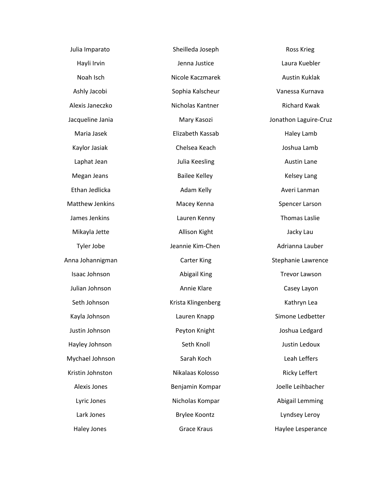| Julia Imparato         | Sheilleda Joseph     | <b>Ross Krieg</b>     |
|------------------------|----------------------|-----------------------|
| Hayli Irvin            | Jenna Justice        | Laura Kuebler         |
| Noah Isch              | Nicole Kaczmarek     | Austin Kuklak         |
| Ashly Jacobi           | Sophia Kalscheur     | Vanessa Kurnava       |
| Alexis Janeczko        | Nicholas Kantner     | <b>Richard Kwak</b>   |
| Jacqueline Jania       | Mary Kasozi          | Jonathon Laguire-Cruz |
| Maria Jasek            | Elizabeth Kassab     | Haley Lamb            |
| Kaylor Jasiak          | Chelsea Keach        | Joshua Lamb           |
| Laphat Jean            | Julia Keesling       | Austin Lane           |
| Megan Jeans            | <b>Bailee Kelley</b> | <b>Kelsey Lang</b>    |
| Ethan Jedlicka         | Adam Kelly           | Averi Lanman          |
| <b>Matthew Jenkins</b> | Macey Kenna          | Spencer Larson        |
| James Jenkins          | Lauren Kenny         | <b>Thomas Laslie</b>  |
| Mikayla Jette          | Allison Kight        | Jacky Lau             |
| Tyler Jobe             | Jeannie Kim-Chen     | Adrianna Lauber       |
| Anna Johannigman       | <b>Carter King</b>   | Stephanie Lawrence    |
| Isaac Johnson          | Abigail King         | <b>Trevor Lawson</b>  |
| Julian Johnson         | Annie Klare          | Casey Layon           |
| Seth Johnson           | Krista Klingenberg   | Kathryn Lea           |
| Kayla Johnson          | Lauren Knapp         | Simone Ledbetter      |
| Justin Johnson         | Peyton Knight        | Joshua Ledgard        |
| Hayley Johnson         | Seth Knoll           | Justin Ledoux         |
| Mychael Johnson        | Sarah Koch           | Leah Leffers          |
| Kristin Johnston       | Nikalaas Kolosso     | Ricky Leffert         |
| Alexis Jones           | Benjamin Kompar      | Joelle Leihbacher     |
| Lyric Jones            | Nicholas Kompar      | Abigail Lemming       |
| Lark Jones             | <b>Brylee Koontz</b> | Lyndsey Leroy         |
| <b>Haley Jones</b>     | <b>Grace Kraus</b>   | Haylee Lesperance     |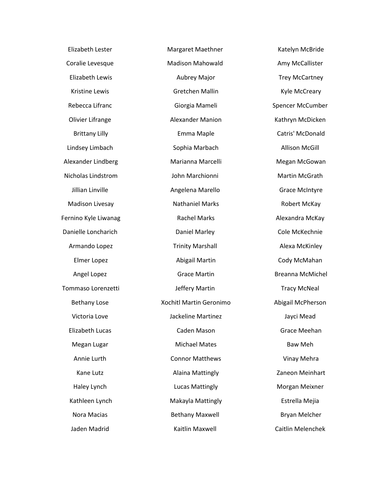Elizabeth Lester Coralie Levesque Elizabeth Lewis Kristine Lewis Rebecca Lifranc Olivier Lifrange Brittany Lilly Lindsey Limbach Alexander Lindberg Nicholas Lindstrom Jillian Linville Madison Livesay Fernino Kyle Liwanag Danielle Loncharich Armando Lopez Elmer Lopez Angel Lopez Tommaso Lorenzetti Bethany Lose Victoria Love Elizabeth Lucas Megan Lugar Annie Lurth Kane Lutz Haley Lynch Kathleen Lynch Nora Macias Jaden Madrid

Margaret Maethner Madison Mahowald Aubrey Major Gretchen Mallin Giorgia Mameli Alexander Manion Emma Maple Sophia Marbach Marianna Marcelli John Marchionni Angelena Marello Nathaniel Marks Rachel Marks Daniel Marley Trinity Marshall Abigail Martin Grace Martin Jeffery Martin Xochitl Martin Geronimo Jackeline Martinez Caden Mason Michael Mates Connor Matthews Alaina Mattingly Lucas Mattingly Makayla Mattingly Bethany Maxwell Kaitlin Maxwell

Katelyn McBride Amy McCallister Trey McCartney Kyle McCreary Spencer McCumber Kathryn McDicken Catris' McDonald Allison McGill Megan McGowan Martin McGrath Grace McIntyre Robert McKay Alexandra McKay Cole McKechnie Alexa McKinley Cody McMahan Breanna McMichel Tracy McNeal Abigail McPherson Jayci Mead Grace Meehan Baw Meh Vinay Mehra Zaneon Meinhart Morgan Meixner Estrella Mejia Bryan Melcher Caitlin Melenchek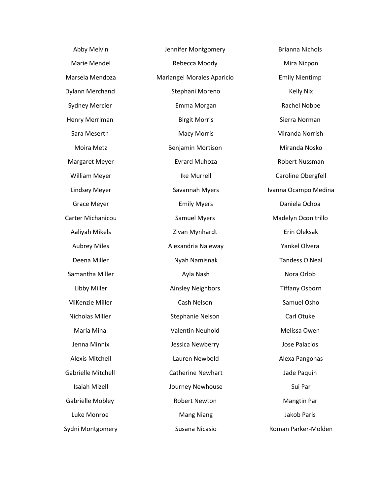Abby Melvin Marie Mendel Marsela Mendoza Dylann Merchand Sydney Mercier Henry Merriman Sara Meserth Moira Metz Margaret Meyer William Meyer Lindsey Meyer Grace Meyer Carter Michanicou Aaliyah Mikels Aubrey Miles Deena Miller Samantha Miller Libby Miller MiKenzie Miller Nicholas Miller Maria Mina Jenna Minnix Alexis Mitchell Gabrielle Mitchell Isaiah Mizell Gabrielle Mobley Luke Monroe Sydni Montgomery

Jennifer Montgomery Rebecca Moody Mariangel Morales Aparicio Stephani Moreno Emma Morgan Birgit Morris Macy Morris Benjamin Mortison Evrard Muhoza Ike Murrell Savannah Myers Emily Myers Samuel Myers Zivan Mynhardt Alexandria Naleway Nyah Namisnak Ayla Nash Ainsley Neighbors Cash Nelson Stephanie Nelson Valentin Neuhold Jessica Newberry Lauren Newbold Catherine Newhart Journey Newhouse Robert Newton Mang Niang Susana Nicasio

Mira Nicpon Emily Nientimp Kelly Nix Rachel Nobbe Sierra Norman Miranda Norrish Miranda Nosko Robert Nussman Caroline Obergfell Ivanna Ocampo Medina Daniela Ochoa Madelyn Oconitrillo Erin Oleksak Yankel Olvera Tandess O'Neal Nora Orlob Tiffany Osborn Samuel Osho Carl Otuke Melissa Owen Jose Palacios Alexa Pangonas Jade Paquin Sui Par Mangtin Par Jakob Paris Roman Parker-Molden

Brianna Nichols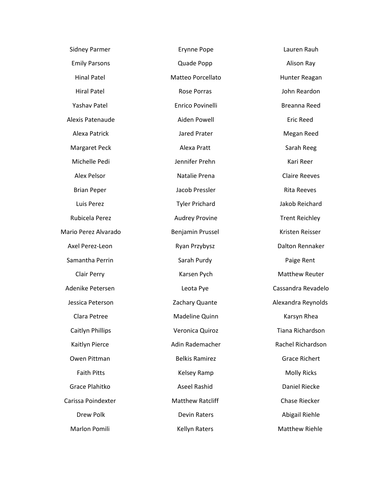| <b>Sidney Parmer</b> | <b>Erynne Pope</b>      | Lauren Rauh           |
|----------------------|-------------------------|-----------------------|
| <b>Emily Parsons</b> | Quade Popp              | Alison Ray            |
| <b>Hinal Patel</b>   | Matteo Porcellato       | Hunter Reagan         |
| <b>Hiral Patel</b>   | Rose Porras             | John Reardon          |
| Yashav Patel         | Enrico Povinelli        | Breanna Reed          |
| Alexis Patenaude     | Aiden Powell            | <b>Eric Reed</b>      |
| Alexa Patrick        | Jared Prater            | Megan Reed            |
| <b>Margaret Peck</b> | Alexa Pratt             | Sarah Reeg            |
| Michelle Pedi        | Jennifer Prehn          | Kari Reer             |
| <b>Alex Pelsor</b>   | Natalie Prena           | <b>Claire Reeves</b>  |
| <b>Brian Peper</b>   | Jacob Pressler          | <b>Rita Reeves</b>    |
| Luis Perez           | <b>Tyler Prichard</b>   | Jakob Reichard        |
| Rubicela Perez       | <b>Audrey Provine</b>   | <b>Trent Reichley</b> |
| Mario Perez Alvarado | Benjamin Prussel        | Kristen Reisser       |
| Axel Perez-Leon      | Ryan Przybysz           | Dalton Rennaker       |
| Samantha Perrin      | Sarah Purdy             | Paige Rent            |
| Clair Perry          | Karsen Pych             | <b>Matthew Reuter</b> |
| Adenike Petersen     | Leota Pye               | Cassandra Revadelo    |
| Jessica Peterson     | Zachary Quante          | Alexandra Reynolds    |
| Clara Petree         | Madeline Quinn          | Karsyn Rhea           |
| Caitlyn Phillips     | Veronica Quiroz         | Tiana Richardson      |
| Kaitlyn Pierce       | Adin Rademacher         | Rachel Richardson     |
| Owen Pittman         | <b>Belkis Ramirez</b>   | <b>Grace Richert</b>  |
| <b>Faith Pitts</b>   | Kelsey Ramp             | <b>Molly Ricks</b>    |
| Grace Plahitko       | <b>Aseel Rashid</b>     | <b>Daniel Riecke</b>  |
| Carissa Poindexter   | <b>Matthew Ratcliff</b> | Chase Riecker         |
| Drew Polk            | <b>Devin Raters</b>     | Abigail Riehle        |
| Marlon Pomili        | <b>Kellyn Raters</b>    | <b>Matthew Riehle</b> |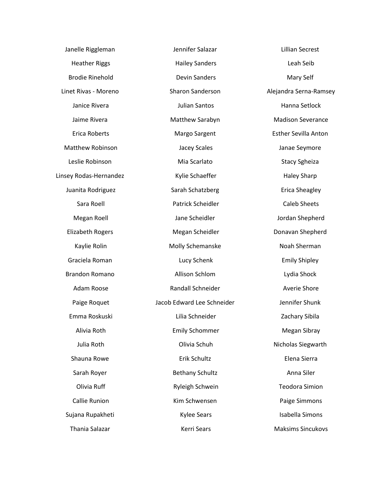| Janelle Riggleman       | Jennifer Salazar           | <b>Lillian Secrest</b>      |
|-------------------------|----------------------------|-----------------------------|
| <b>Heather Riggs</b>    | <b>Hailey Sanders</b>      | Leah Seib                   |
| <b>Brodie Rinehold</b>  | <b>Devin Sanders</b>       | Mary Self                   |
| Linet Rivas - Moreno    | Sharon Sanderson           | Alejandra Serna-Ramsey      |
| Janice Rivera           | Julian Santos              | Hanna Setlock               |
| Jaime Rivera            | Matthew Sarabyn            | <b>Madison Severance</b>    |
| <b>Erica Roberts</b>    | Margo Sargent              | <b>Esther Sevilla Anton</b> |
| <b>Matthew Robinson</b> | Jacey Scales               | Janae Seymore               |
| Leslie Robinson         | Mia Scarlato               | <b>Stacy Sgheiza</b>        |
| Linsey Rodas-Hernandez  | Kylie Schaeffer            | <b>Haley Sharp</b>          |
| Juanita Rodriguez       | Sarah Schatzberg           | <b>Erica Sheagley</b>       |
| Sara Roell              | Patrick Scheidler          | <b>Caleb Sheets</b>         |
| Megan Roell             | Jane Scheidler             | Jordan Shepherd             |
| <b>Elizabeth Rogers</b> | Megan Scheidler            | Donavan Shepherd            |
| Kaylie Rolin            | Molly Schemanske           | Noah Sherman                |
| Graciela Roman          | Lucy Schenk                | <b>Emily Shipley</b>        |
| <b>Brandon Romano</b>   | Allison Schlom             | Lydia Shock                 |
| Adam Roose              | Randall Schneider          | Averie Shore                |
| Paige Roquet            | Jacob Edward Lee Schneider | Jennifer Shunk              |
| Emma Roskuski           | Lilia Schneider            | Zachary Sibila              |
| Alivia Roth             | <b>Emily Schommer</b>      | Megan Sibray                |
| Julia Roth              | Olivia Schuh               | Nicholas Siegwarth          |
| Shauna Rowe             | Erik Schultz               | Elena Sierra                |
| Sarah Royer             | <b>Bethany Schultz</b>     | Anna Siler                  |
| Olivia Ruff             | Ryleigh Schwein            | <b>Teodora Simion</b>       |
| <b>Callie Runion</b>    | Kim Schwensen              | Paige Simmons               |
| Sujana Rupakheti        | <b>Kylee Sears</b>         | Isabella Simons             |
| Thania Salazar          | Kerri Sears                | <b>Maksims Sincukovs</b>    |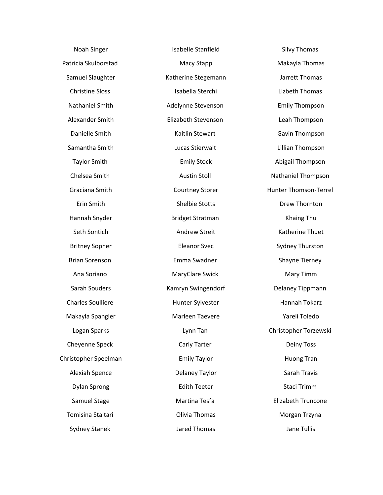| Noah Singer              | Isabelle Stanfield      |  |  |
|--------------------------|-------------------------|--|--|
| Patricia Skulborstad     | Macy Stapp              |  |  |
| Samuel Slaughter         | Katherine Stegemann     |  |  |
| <b>Christine Sloss</b>   | Isabella Sterchi        |  |  |
| Nathaniel Smith          | Adelynne Stevenson      |  |  |
| Alexander Smith          | Elizabeth Stevenson     |  |  |
| Danielle Smith           | Kaitlin Stewart         |  |  |
| Samantha Smith           | Lucas Stierwalt         |  |  |
| <b>Taylor Smith</b>      | <b>Emily Stock</b>      |  |  |
| Chelsea Smith            | <b>Austin Stoll</b>     |  |  |
| Graciana Smith           | <b>Courtney Storer</b>  |  |  |
| <b>Erin Smith</b>        | <b>Shelbie Stotts</b>   |  |  |
| Hannah Snyder            | <b>Bridget Stratman</b> |  |  |
| Seth Sontich             | <b>Andrew Streit</b>    |  |  |
| <b>Britney Sopher</b>    | <b>Eleanor Svec</b>     |  |  |
| <b>Brian Sorenson</b>    | Emma Swadner            |  |  |
| Ana Soriano              | MaryClare Swick         |  |  |
| Sarah Souders            | Kamryn Swingendorf      |  |  |
| <b>Charles Soulliere</b> | Hunter Sylvester        |  |  |
| Makayla Spangler         | Marleen Taevere         |  |  |
| Logan Sparks             | Lynn Tan                |  |  |
| Cheyenne Speck           | Carly Tarter            |  |  |
| Christopher Speelman     | <b>Emily Taylor</b>     |  |  |
| Alexiah Spence           | Delaney Taylor          |  |  |
| <b>Dylan Sprong</b>      | <b>Edith Teeter</b>     |  |  |
| Samuel Stage             | Martina Tesfa           |  |  |
| Tomisina Staltari        | Olivia Thomas           |  |  |
| <b>Sydney Stanek</b>     | <b>Jared Thomas</b>     |  |  |

Silvy Thomas Makayla Thomas Jarrett Thomas Lizbeth Thomas Emily Thompson Leah Thompson Gavin Thompson Lillian Thompson Abigail Thompson Nathaniel Thompson Hunter Thomson-Terrel Drew Thornton Khaing Thu Katherine Thuet Sydney Thurston Shayne Tierney Mary Timm Delaney Tippmann Hannah Tokarz Yareli Toledo Christopher Torzewski Deiny Toss Huong Tran Sarah Travis Staci Trimm Elizabeth Truncone Morgan Trzyna Jane Tullis